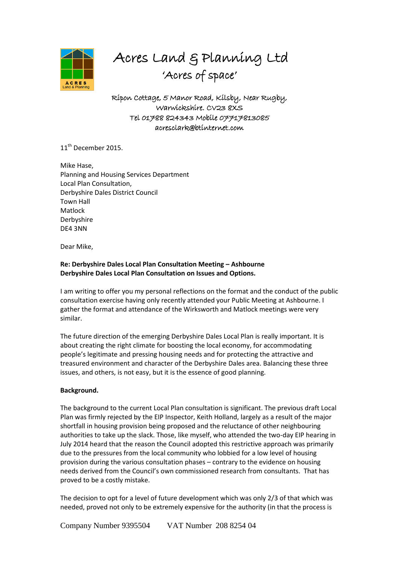

# Acres Land & Planning Ltd 'Acres of space'

Ripon Cottage, 5 Manor Road, Kilsby, Near Rugby, Warwickshire. CV23 8XS Tel 01788 824343 Mobile 07717813085 acresclark@btinternet.com

11<sup>th</sup> December 2015.

Mike Hase, Planning and Housing Services Department Local Plan Consultation, Derbyshire Dales District Council Town Hall Matlock Derbyshire DE4 3NN

Dear Mike,

# **Re: Derbyshire Dales Local Plan Consultation Meeting – Ashbourne Derbyshire Dales Local Plan Consultation on Issues and Options.**

I am writing to offer you my personal reflections on the format and the conduct of the public consultation exercise having only recently attended your Public Meeting at Ashbourne. I gather the format and attendance of the Wirksworth and Matlock meetings were very similar.

The future direction of the emerging Derbyshire Dales Local Plan is really important. It is about creating the right climate for boosting the local economy, for accommodating people's legitimate and pressing housing needs and for protecting the attractive and treasured environment and character of the Derbyshire Dales area. Balancing these three issues, and others, is not easy, but it is the essence of good planning.

## **Background.**

The background to the current Local Plan consultation is significant. The previous draft Local Plan was firmly rejected by the EIP Inspector, Keith Holland, largely as a result of the major shortfall in housing provision being proposed and the reluctance of other neighbouring authorities to take up the slack. Those, like myself, who attended the two-day EIP hearing in July 2014 heard that the reason the Council adopted this restrictive approach was primarily due to the pressures from the local community who lobbied for a low level of housing provision during the various consultation phases – contrary to the evidence on housing needs derived from the Council's own commissioned research from consultants. That has proved to be a costly mistake.

The decision to opt for a level of future development which was only 2/3 of that which was needed, proved not only to be extremely expensive for the authority (in that the process is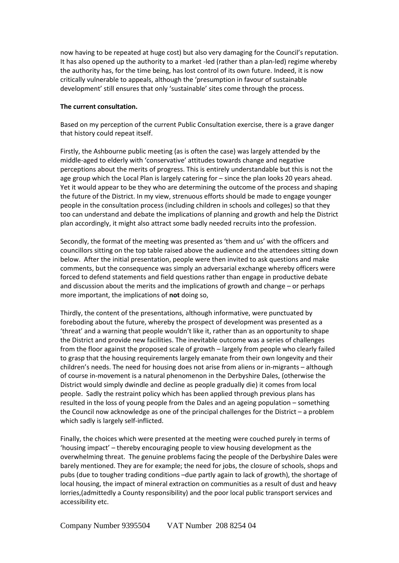now having to be repeated at huge cost) but also very damaging for the Council's reputation. It has also opened up the authority to a market -led (rather than a plan-led) regime whereby the authority has, for the time being, has lost control of its own future. Indeed, it is now critically vulnerable to appeals, although the 'presumption in favour of sustainable development' still ensures that only 'sustainable' sites come through the process.

#### **The current consultation.**

Based on my perception of the current Public Consultation exercise, there is a grave danger that history could repeat itself.

Firstly, the Ashbourne public meeting (as is often the case) was largely attended by the middle-aged to elderly with 'conservative' attitudes towards change and negative perceptions about the merits of progress. This is entirely understandable but this is not the age group which the Local Plan is largely catering for – since the plan looks 20 years ahead. Yet it would appear to be they who are determining the outcome of the process and shaping the future of the District. In my view, strenuous efforts should be made to engage younger people in the consultation process (including children in schools and colleges) so that they too can understand and debate the implications of planning and growth and help the District plan accordingly, it might also attract some badly needed recruits into the profession.

Secondly, the format of the meeting was presented as 'them and us' with the officers and councillors sitting on the top table raised above the audience and the attendees sitting down below. After the initial presentation, people were then invited to ask questions and make comments, but the consequence was simply an adversarial exchange whereby officers were forced to defend statements and field questions rather than engage in productive debate and discussion about the merits and the implications of growth and change – or perhaps more important, the implications of **not** doing so,

Thirdly, the content of the presentations, although informative, were punctuated by foreboding about the future, whereby the prospect of development was presented as a 'threat' and a warning that people wouldn't like it, rather than as an opportunity to shape the District and provide new facilities. The inevitable outcome was a series of challenges from the floor against the proposed scale of growth – largely from people who clearly failed to grasp that the housing requirements largely emanate from their own longevity and their children's needs. The need for housing does not arise from aliens or in-migrants – although of course in-movement is a natural phenomenon in the Derbyshire Dales, (otherwise the District would simply dwindle and decline as people gradually die) it comes from local people. Sadly the restraint policy which has been applied through previous plans has resulted in the loss of young people from the Dales and an ageing population – something the Council now acknowledge as one of the principal challenges for the District – a problem which sadly is largely self-inflicted.

Finally, the choices which were presented at the meeting were couched purely in terms of 'housing impact' – thereby encouraging people to view housing development as the overwhelming threat. The genuine problems facing the people of the Derbyshire Dales were barely mentioned. They are for example; the need for jobs, the closure of schools, shops and pubs (due to tougher trading conditions –due partly again to lack of growth), the shortage of local housing, the impact of mineral extraction on communities as a result of dust and heavy lorries,(admittedly a County responsibility) and the poor local public transport services and accessibility etc.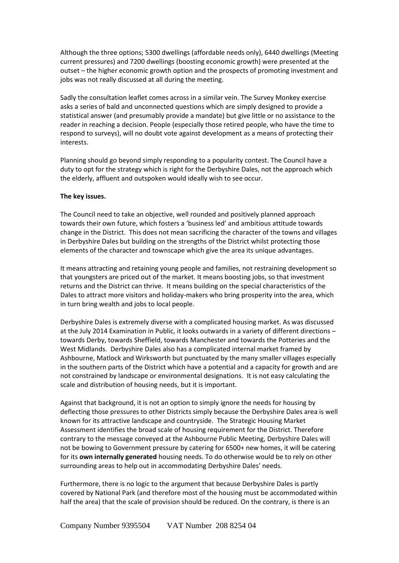Although the three options; 5300 dwellings (affordable needs only), 6440 dwellings (Meeting current pressures) and 7200 dwellings (boosting economic growth) were presented at the outset – the higher economic growth option and the prospects of promoting investment and jobs was not really discussed at all during the meeting.

Sadly the consultation leaflet comes across in a similar vein. The Survey Monkey exercise asks a series of bald and unconnected questions which are simply designed to provide a statistical answer (and presumably provide a mandate) but give little or no assistance to the reader in reaching a decision. People (especially those retired people, who have the time to respond to surveys), will no doubt vote against development as a means of protecting their interests.

Planning should go beyond simply responding to a popularity contest. The Council have a duty to opt for the strategy which is right for the Derbyshire Dales, not the approach which the elderly, affluent and outspoken would ideally wish to see occur.

## **The key issues.**

The Council need to take an objective, well rounded and positively planned approach towards their own future, which fosters a 'business led' and ambitious attitude towards change in the District. This does not mean sacrificing the character of the towns and villages in Derbyshire Dales but building on the strengths of the District whilst protecting those elements of the character and townscape which give the area its unique advantages.

It means attracting and retaining young people and families, not restraining development so that youngsters are priced out of the market. It means boosting jobs, so that investment returns and the District can thrive. It means building on the special characteristics of the Dales to attract more visitors and holiday-makers who bring prosperity into the area, which in turn bring wealth and jobs to local people.

Derbyshire Dales is extremely diverse with a complicated housing market. As was discussed at the July 2014 Examination in Public, it looks outwards in a variety of different directions – towards Derby, towards Sheffield, towards Manchester and towards the Potteries and the West Midlands. Derbyshire Dales also has a complicated internal market framed by Ashbourne, Matlock and Wirksworth but punctuated by the many smaller villages especially in the southern parts of the District which have a potential and a capacity for growth and are not constrained by landscape or environmental designations. It is not easy calculating the scale and distribution of housing needs, but it is important.

Against that background, it is not an option to simply ignore the needs for housing by deflecting those pressures to other Districts simply because the Derbyshire Dales area is well known for its attractive landscape and countryside. The Strategic Housing Market Assessment identifies the broad scale of housing requirement for the District. Therefore contrary to the message conveyed at the Ashbourne Public Meeting, Derbyshire Dales will not be bowing to Government pressure by catering for 6500+ new homes, it will be catering for its **own internally generated** housing needs. To do otherwise would be to rely on other surrounding areas to help out in accommodating Derbyshire Dales' needs.

Furthermore, there is no logic to the argument that because Derbyshire Dales is partly covered by National Park (and therefore most of the housing must be accommodated within half the area) that the scale of provision should be reduced. On the contrary, is there is an